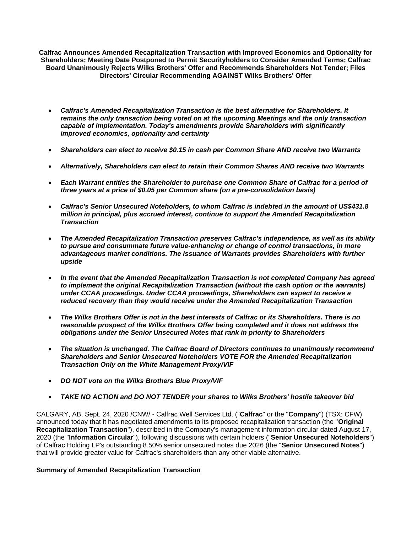**Calfrac Announces Amended Recapitalization Transaction with Improved Economics and Optionality for Shareholders; Meeting Date Postponed to Permit Securityholders to Consider Amended Terms; Calfrac Board Unanimously Rejects Wilks Brothers' Offer and Recommends Shareholders Not Tender; Files Directors' Circular Recommending AGAINST Wilks Brothers' Offer**

- *Calfrac's Amended Recapitalization Transaction is the best alternative for Shareholders. It remains the only transaction being voted on at the upcoming Meetings and the only transaction capable of implementation. Today's amendments provide Shareholders with significantly improved economics, optionality and certainty*
- *Shareholders can elect to receive \$0.15 in cash per Common Share AND receive two Warrants*
- *Alternatively, Shareholders can elect to retain their Common Shares AND receive two Warrants*
- *Each Warrant entitles the Shareholder to purchase one Common Share of Calfrac for a period of three years at a price of \$0.05 per Common share (on a pre-consolidation basis)*
- *Calfrac's Senior Unsecured Noteholders, to whom Calfrac is indebted in the amount of US\$431.8 million in principal, plus accrued interest, continue to support the Amended Recapitalization Transaction*
- *The Amended Recapitalization Transaction preserves Calfrac's independence, as well as its ability to pursue and consummate future value-enhancing or change of control transactions, in more advantageous market conditions. The issuance of Warrants provides Shareholders with further upside*
- *In the event that the Amended Recapitalization Transaction is not completed Company has agreed to implement the original Recapitalization Transaction (without the cash option or the warrants) under CCAA proceedings. Under CCAA proceedings, Shareholders can expect to receive a reduced recovery than they would receive under the Amended Recapitalization Transaction*
- *The Wilks Brothers Offer is not in the best interests of Calfrac or its Shareholders. There is no reasonable prospect of the Wilks Brothers Offer being completed and it does not address the obligations under the Senior Unsecured Notes that rank in priority to Shareholders*
- *The situation is unchanged. The Calfrac Board of Directors continues to unanimously recommend Shareholders and Senior Unsecured Noteholders VOTE FOR the Amended Recapitalization Transaction Only on the White Management Proxy/VIF*
- *DO NOT vote on the Wilks Brothers Blue Proxy/VIF*
- *TAKE NO ACTION and DO NOT TENDER your shares to Wilks Brothers' hostile takeover bid*

CALGARY, AB, Sept. 24, 2020 /CNW/ - Calfrac Well Services Ltd. ("**Calfrac**" or the "**Company**") (TSX: CFW) announced today that it has negotiated amendments to its proposed recapitalization transaction (the "**Original Recapitalization Transaction**"), described in the Company's management information circular dated August 17, 2020 (the "**Information Circular**"), following discussions with certain holders ("**Senior Unsecured Noteholders**") of Calfrac Holding LP's outstanding 8.50% senior unsecured notes due 2026 (the "**Senior Unsecured Notes**") that will provide greater value for Calfrac's shareholders than any other viable alternative.

#### **Summary of Amended Recapitalization Transaction**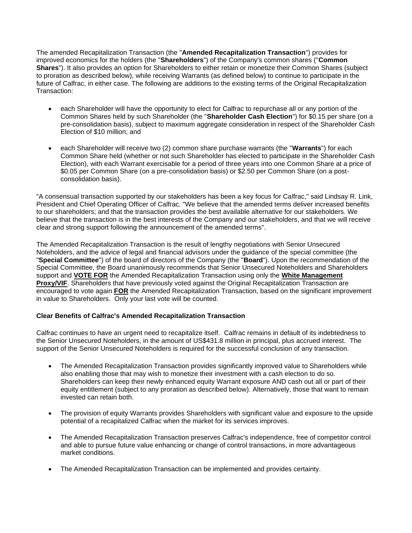The amended Recapitalization Transaction (the "**Amended Recapitalization Transaction**") provides for improved economics for the holders (the "**Shareholders**") of the Company's common shares ("**Common Shares**"). It also provides an option for Shareholders to either retain or monetize their Common Shares (subject to proration as described below), while receiving Warrants (as defined below) to continue to participate in the future of Calfrac, in either case. The following are additions to the existing terms of the Original Recapitalization Transaction:

- each Shareholder will have the opportunity to elect for Calfrac to repurchase all or any portion of the Common Shares held by such Shareholder (the "**Shareholder Cash Election**") for \$0.15 per share (on a pre-consolidation basis), subject to maximum aggregate consideration in respect of the Shareholder Cash Election of \$10 million; and
- each Shareholder will receive two (2) common share purchase warrants (the "**Warrants**") for each Common Share held (whether or not such Shareholder has elected to participate in the Shareholder Cash Election), with each Warrant exercisable for a period of three years into one Common Share at a price of \$0.05 per Common Share (on a pre-consolidation basis) or \$2.50 per Common Share (on a postconsolidation basis).

"A consensual transaction supported by our stakeholders has been a key focus for Calfrac," said Lindsay R. Link, President and Chief Operating Officer of Calfrac. "We believe that the amended terms deliver increased benefits to our shareholders; and that the transaction provides the best available alternative for our stakeholders. We believe that the transaction is in the best interests of the Company and our stakeholders, and that we will receive clear and strong support following the announcement of the amended terms".

The Amended Recapitalization Transaction is the result of lengthy negotiations with Senior Unsecured Noteholders, and the advice of legal and financial advisors under the guidance of the special committee (the "**Special Committee**") of the board of directors of the Company (the "**Board**"). Upon the recommendation of the Special Committee, the Board unanimously recommends that Senior Unsecured Noteholders and Shareholders support and **VOTE FOR** the Amended Recapitalization Transaction using only the **White Management Proxy/VIF.** Shareholders that have previously voted against the Original Recapitalization Transaction are encouraged to vote again **FOR** the Amended Recapitalization Transaction, based on the significant improvement in value to Shareholders. Only your last vote will be counted.

# **Clear Benefits of Calfrac's Amended Recapitalization Transaction**

Calfrac continues to have an urgent need to recapitalize itself. Calfrac remains in default of its indebtedness to the Senior Unsecured Noteholders, in the amount of US\$431.8 million in principal, plus accrued interest. The support of the Senior Unsecured Noteholders is required for the successful conclusion of any transaction.

- The Amended Recapitalization Transaction provides significantly improved value to Shareholders while also enabling those that may wish to monetize their investment with a cash election to do so. Shareholders can keep their newly enhanced equity Warrant exposure AND cash out all or part of their equity entitlement (subject to any proration as described below). Alternatively, those that want to remain invested can retain both.
- The provision of equity Warrants provides Shareholders with significant value and exposure to the upside potential of a recapitalized Calfrac when the market for its services improves.
- The Amended Recapitalization Transaction preserves Calfrac's independence, free of competitor control and able to pursue future value enhancing or change of control transactions, in more advantageous market conditions.
- The Amended Recapitalization Transaction can be implemented and provides certainty.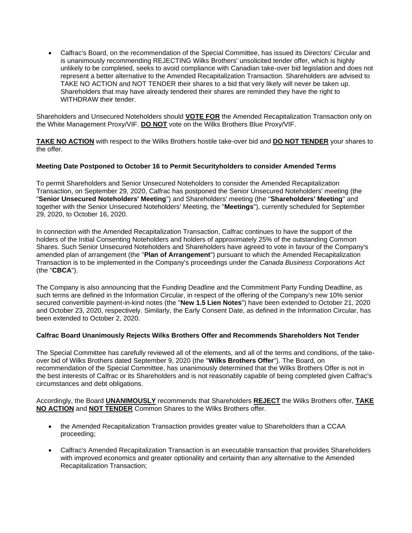• Calfrac's Board, on the recommendation of the Special Committee, has issued its Directors' Circular and is unanimously recommending REJECTING Wilks Brothers' unsolicited tender offer, which is highly unlikely to be completed, seeks to avoid compliance with Canadian take-over bid legislation and does not represent a better alternative to the Amended Recapitalization Transaction. Shareholders are advised to TAKE NO ACTION and NOT TENDER their shares to a bid that very likely will never be taken up. Shareholders that may have already tendered their shares are reminded they have the right to WITHDRAW their tender.

Shareholders and Unsecured Noteholders should **VOTE FOR** the Amended Recapitalization Transaction only on the White Management Proxy/VIF. **DO NOT** vote on the Wilks Brothers Blue Proxy/VIF.

**TAKE NO ACTION** with respect to the Wilks Brothers hostile take-over bid and **DO NOT TENDER** your shares to the offer.

# **Meeting Date Postponed to October 16 to Permit Securityholders to consider Amended Terms**

To permit Shareholders and Senior Unsecured Noteholders to consider the Amended Recapitalization Transaction, on September 29, 2020, Calfrac has postponed the Senior Unsecured Noteholders' meeting (the "**Senior Unsecured Noteholders' Meeting**") and Shareholders' meeting (the "**Shareholders' Meeting**" and together with the Senior Unsecured Noteholders' Meeting, the "**Meetings**"), currently scheduled for September 29, 2020, to October 16, 2020.

In connection with the Amended Recapitalization Transaction, Calfrac continues to have the support of the holders of the Initial Consenting Noteholders and holders of approximately 25% of the outstanding Common Shares. Such Senior Unsecured Noteholders and Shareholders have agreed to vote in favour of the Company's amended plan of arrangement (the "**Plan of Arrangement**") pursuant to which the Amended Recapitalization Transaction is to be implemented in the Company's proceedings under the *Canada Business Corporations Act* (the "**CBCA**").

The Company is also announcing that the Funding Deadline and the Commitment Party Funding Deadline, as such terms are defined in the Information Circular, in respect of the offering of the Company's new 10% senior secured convertible payment-in-kind notes (the "**New 1.5 Lien Notes**") have been extended to October 21, 2020 and October 23, 2020, respectively. Similarly, the Early Consent Date, as defined in the Information Circular, has been extended to October 2, 2020.

#### **Calfrac Board Unanimously Rejects Wilks Brothers Offer and Recommends Shareholders Not Tender**

The Special Committee has carefully reviewed all of the elements, and all of the terms and conditions, of the takeover bid of Wilks Brothers dated September 9, 2020 (the "**Wilks Brothers Offer**"). The Board, on recommendation of the Special Committee, has unanimously determined that the Wilks Brothers Offer is not in the best interests of Calfrac or its Shareholders and is not reasonably capable of being completed given Calfrac's circumstances and debt obligations.

Accordingly, the Board **UNANIMOUSLY** recommends that Shareholders **REJECT** the Wilks Brothers offer, **TAKE NO ACTION** and **NOT TENDER** Common Shares to the Wilks Brothers offer.

- the Amended Recapitalization Transaction provides greater value to Shareholders than a CCAA proceeding;
- Calfrac's Amended Recapitalization Transaction is an executable transaction that provides Shareholders with improved economics and greater optionality and certainty than any alternative to the Amended Recapitalization Transaction;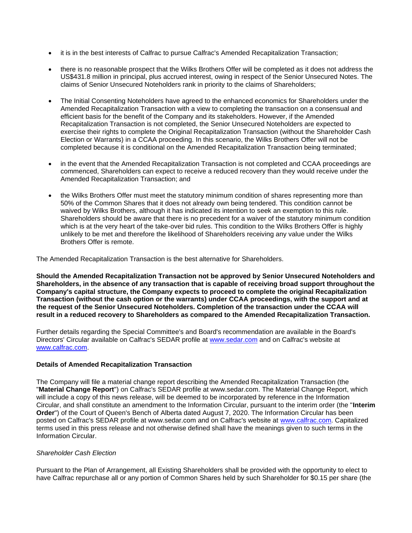- it is in the best interests of Calfrac to pursue Calfrac's Amended Recapitalization Transaction;
- there is no reasonable prospect that the Wilks Brothers Offer will be completed as it does not address the US\$431.8 million in principal, plus accrued interest, owing in respect of the Senior Unsecured Notes. The claims of Senior Unsecured Noteholders rank in priority to the claims of Shareholders;
- The Initial Consenting Noteholders have agreed to the enhanced economics for Shareholders under the Amended Recapitalization Transaction with a view to completing the transaction on a consensual and efficient basis for the benefit of the Company and its stakeholders. However, if the Amended Recapitalization Transaction is not completed, the Senior Unsecured Noteholders are expected to exercise their rights to complete the Original Recapitalization Transaction (without the Shareholder Cash Election or Warrants) in a CCAA proceeding. In this scenario, the Wilks Brothers Offer will not be completed because it is conditional on the Amended Recapitalization Transaction being terminated;
- in the event that the Amended Recapitalization Transaction is not completed and CCAA proceedings are commenced, Shareholders can expect to receive a reduced recovery than they would receive under the Amended Recapitalization Transaction; and
- the Wilks Brothers Offer must meet the statutory minimum condition of shares representing more than 50% of the Common Shares that it does not already own being tendered. This condition cannot be waived by Wilks Brothers, although it has indicated its intention to seek an exemption to this rule. Shareholders should be aware that there is no precedent for a waiver of the statutory minimum condition which is at the very heart of the take-over bid rules. This condition to the Wilks Brothers Offer is highly unlikely to be met and therefore the likelihood of Shareholders receiving any value under the Wilks Brothers Offer is remote.

The Amended Recapitalization Transaction is the best alternative for Shareholders.

**Should the Amended Recapitalization Transaction not be approved by Senior Unsecured Noteholders and Shareholders, in the absence of any transaction that is capable of receiving broad support throughout the Company's capital structure, the Company expects to proceed to complete the original Recapitalization Transaction (without the cash option or the warrants) under CCAA proceedings, with the support and at the request of the Senior Unsecured Noteholders. Completion of the transaction under the CCAA will result in a reduced recovery to Shareholders as compared to the Amended Recapitalization Transaction.**

Further details regarding the Special Committee's and Board's recommendation are available in the Board's Directors' Circular available on Calfrac's SEDAR profile at [www.sedar.com](https://c212.net/c/link/?t=0&l=en&o=2927389-1&h=408738122&u=http%3A%2F%2Fwww.sedar.com%2F&a=www.sedar.com) and on Calfrac's website at [www.calfrac.com.](https://c212.net/c/link/?t=0&l=en&o=2927389-1&h=2183370224&u=http%3A%2F%2Fwww.calfrac.com%2F&a=www.calfrac.com)

# **Details of Amended Recapitalization Transaction**

The Company will file a material change report describing the Amended Recapitalization Transaction (the "**Material Change Report**") on Calfrac's SEDAR profile at www.sedar.com. The Material Change Report, which will include a copy of this news release, will be deemed to be incorporated by reference in the Information Circular, and shall constitute an amendment to the Information Circular, pursuant to the interim order (the "**Interim Order**") of the Court of Queen's Bench of Alberta dated August 7, 2020. The Information Circular has been posted on Calfrac's SEDAR profile at www.sedar.com and on Calfrac's website at [www.calfrac.com.](https://c212.net/c/link/?t=0&l=en&o=2927389-1&h=2183370224&u=http%3A%2F%2Fwww.calfrac.com%2F&a=www.calfrac.com) Capitalized terms used in this press release and not otherwise defined shall have the meanings given to such terms in the Information Circular.

#### *Shareholder Cash Election*

Pursuant to the Plan of Arrangement, all Existing Shareholders shall be provided with the opportunity to elect to have Calfrac repurchase all or any portion of Common Shares held by such Shareholder for \$0.15 per share (the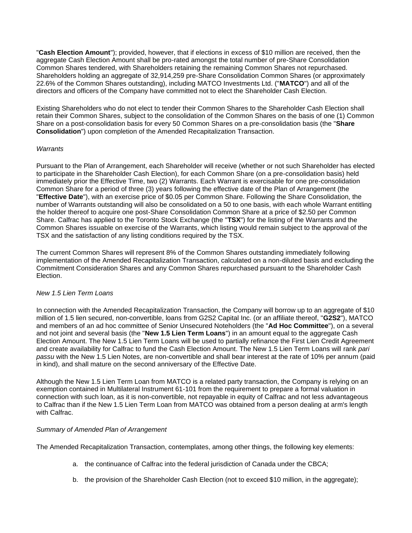"**Cash Election Amount**"); provided, however, that if elections in excess of \$10 million are received, then the aggregate Cash Election Amount shall be pro-rated amongst the total number of pre-Share Consolidation Common Shares tendered, with Shareholders retaining the remaining Common Shares not repurchased. Shareholders holding an aggregate of 32,914,259 pre-Share Consolidation Common Shares (or approximately 22.6% of the Common Shares outstanding), including MATCO Investments Ltd. ("**MATCO**") and all of the directors and officers of the Company have committed not to elect the Shareholder Cash Election.

Existing Shareholders who do not elect to tender their Common Shares to the Shareholder Cash Election shall retain their Common Shares, subject to the consolidation of the Common Shares on the basis of one (1) Common Share on a post-consolidation basis for every 50 Common Shares on a pre-consolidation basis (the "**Share Consolidation**") upon completion of the Amended Recapitalization Transaction.

### *Warrants*

Pursuant to the Plan of Arrangement, each Shareholder will receive (whether or not such Shareholder has elected to participate in the Shareholder Cash Election), for each Common Share (on a pre-consolidation basis) held immediately prior the Effective Time, two (2) Warrants. Each Warrant is exercisable for one pre-consolidation Common Share for a period of three (3) years following the effective date of the Plan of Arrangement (the "**Effective Date**"), with an exercise price of \$0.05 per Common Share. Following the Share Consolidation, the number of Warrants outstanding will also be consolidated on a 50 to one basis, with each whole Warrant entitling the holder thereof to acquire one post-Share Consolidation Common Share at a price of \$2.50 per Common Share. Calfrac has applied to the Toronto Stock Exchange (the "**TSX**") for the listing of the Warrants and the Common Shares issuable on exercise of the Warrants, which listing would remain subject to the approval of the TSX and the satisfaction of any listing conditions required by the TSX.

The current Common Shares will represent 8% of the Common Shares outstanding immediately following implementation of the Amended Recapitalization Transaction, calculated on a non-diluted basis and excluding the Commitment Consideration Shares and any Common Shares repurchased pursuant to the Shareholder Cash Election.

# *New 1.5 Lien Term Loans*

In connection with the Amended Recapitalization Transaction, the Company will borrow up to an aggregate of \$10 million of 1.5 lien secured, non-convertible, loans from G2S2 Capital Inc. (or an affiliate thereof, "**G2S2**"), MATCO and members of an ad hoc committee of Senior Unsecured Noteholders (the "**Ad Hoc Committee**"), on a several and not joint and several basis (the "**New 1.5 Lien Term Loans**") in an amount equal to the aggregate Cash Election Amount. The New 1.5 Lien Term Loans will be used to partially refinance the First Lien Credit Agreement and create availability for Calfrac to fund the Cash Election Amount. The New 1.5 Lien Term Loans will rank *pari passu* with the New 1.5 Lien Notes, are non-convertible and shall bear interest at the rate of 10% per annum (paid in kind), and shall mature on the second anniversary of the Effective Date.

Although the New 1.5 Lien Term Loan from MATCO is a related party transaction, the Company is relying on an exemption contained in Multilateral Instrument 61-101 from the requirement to prepare a formal valuation in connection with such loan, as it is non-convertible, not repayable in equity of Calfrac and not less advantageous to Calfrac than if the New 1.5 Lien Term Loan from MATCO was obtained from a person dealing at arm's length with Calfrac.

# *Summary of Amended Plan of Arrangement*

The Amended Recapitalization Transaction, contemplates, among other things, the following key elements:

- a. the continuance of Calfrac into the federal jurisdiction of Canada under the CBCA;
- b. the provision of the Shareholder Cash Election (not to exceed \$10 million, in the aggregate);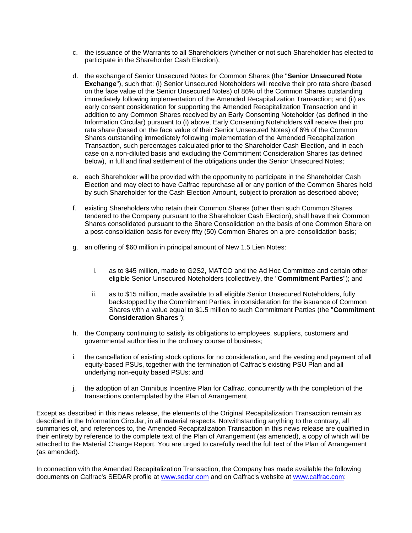- c. the issuance of the Warrants to all Shareholders (whether or not such Shareholder has elected to participate in the Shareholder Cash Election);
- d. the exchange of Senior Unsecured Notes for Common Shares (the "**Senior Unsecured Note Exchange**"), such that: (i) Senior Unsecured Noteholders will receive their pro rata share (based on the face value of the Senior Unsecured Notes) of 86% of the Common Shares outstanding immediately following implementation of the Amended Recapitalization Transaction; and (ii) as early consent consideration for supporting the Amended Recapitalization Transaction and in addition to any Common Shares received by an Early Consenting Noteholder (as defined in the Information Circular) pursuant to (i) above, Early Consenting Noteholders will receive their pro rata share (based on the face value of their Senior Unsecured Notes) of 6% of the Common Shares outstanding immediately following implementation of the Amended Recapitalization Transaction, such percentages calculated prior to the Shareholder Cash Election, and in each case on a non-diluted basis and excluding the Commitment Consideration Shares (as defined below), in full and final settlement of the obligations under the Senior Unsecured Notes;
- e. each Shareholder will be provided with the opportunity to participate in the Shareholder Cash Election and may elect to have Calfrac repurchase all or any portion of the Common Shares held by such Shareholder for the Cash Election Amount, subject to proration as described above;
- f. existing Shareholders who retain their Common Shares (other than such Common Shares tendered to the Company pursuant to the Shareholder Cash Election), shall have their Common Shares consolidated pursuant to the Share Consolidation on the basis of one Common Share on a post-consolidation basis for every fifty (50) Common Shares on a pre-consolidation basis;
- g. an offering of \$60 million in principal amount of New 1.5 Lien Notes:
	- i. as to \$45 million, made to G2S2, MATCO and the Ad Hoc Committee and certain other eligible Senior Unsecured Noteholders (collectively, the "**Commitment Parties**"); and
	- ii. as to \$15 million, made available to all eligible Senior Unsecured Noteholders, fully backstopped by the Commitment Parties, in consideration for the issuance of Common Shares with a value equal to \$1.5 million to such Commitment Parties (the "**Commitment Consideration Shares**");
- h. the Company continuing to satisfy its obligations to employees, suppliers, customers and governmental authorities in the ordinary course of business;
- i. the cancellation of existing stock options for no consideration, and the vesting and payment of all equity-based PSUs, together with the termination of Calfrac's existing PSU Plan and all underlying non-equity based PSUs; and
- j. the adoption of an Omnibus Incentive Plan for Calfrac, concurrently with the completion of the transactions contemplated by the Plan of Arrangement.

Except as described in this news release, the elements of the Original Recapitalization Transaction remain as described in the Information Circular, in all material respects. Notwithstanding anything to the contrary, all summaries of, and references to, the Amended Recapitalization Transaction in this news release are qualified in their entirety by reference to the complete text of the Plan of Arrangement (as amended), a copy of which will be attached to the Material Change Report. You are urged to carefully read the full text of the Plan of Arrangement (as amended).

In connection with the Amended Recapitalization Transaction, the Company has made available the following documents on Calfrac's SEDAR profile at [www.sedar.com](https://c212.net/c/link/?t=0&l=en&o=2927389-1&h=408738122&u=http%3A%2F%2Fwww.sedar.com%2F&a=www.sedar.com) and on Calfrac's website at [www.calfrac.com:](https://c212.net/c/link/?t=0&l=en&o=2927389-1&h=2183370224&u=http%3A%2F%2Fwww.calfrac.com%2F&a=www.calfrac.com)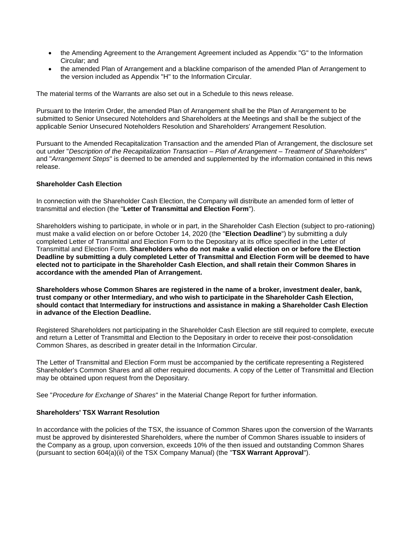- the Amending Agreement to the Arrangement Agreement included as Appendix "G" to the Information Circular; and
- the amended Plan of Arrangement and a blackline comparison of the amended Plan of Arrangement to the version included as Appendix "H" to the Information Circular.

The material terms of the Warrants are also set out in a Schedule to this news release.

Pursuant to the Interim Order, the amended Plan of Arrangement shall be the Plan of Arrangement to be submitted to Senior Unsecured Noteholders and Shareholders at the Meetings and shall be the subject of the applicable Senior Unsecured Noteholders Resolution and Shareholders' Arrangement Resolution.

Pursuant to the Amended Recapitalization Transaction and the amended Plan of Arrangement, the disclosure set out under "*Description of the Recapitalization Transaction – Plan of Arrangement – Treatment of Shareholders*" and "*Arrangement Steps*" is deemed to be amended and supplemented by the information contained in this news release.

#### **Shareholder Cash Election**

In connection with the Shareholder Cash Election, the Company will distribute an amended form of letter of transmittal and election (the "**Letter of Transmittal and Election Form**").

Shareholders wishing to participate, in whole or in part, in the Shareholder Cash Election (subject to pro-rationing) must make a valid election on or before October 14, 2020 (the "**Election Deadline**") by submitting a duly completed Letter of Transmittal and Election Form to the Depositary at its office specified in the Letter of Transmittal and Election Form. **Shareholders who do not make a valid election on or before the Election Deadline by submitting a duly completed Letter of Transmittal and Election Form will be deemed to have elected not to participate in the Shareholder Cash Election, and shall retain their Common Shares in accordance with the amended Plan of Arrangement.** 

**Shareholders whose Common Shares are registered in the name of a broker, investment dealer, bank, trust company or other Intermediary, and who wish to participate in the Shareholder Cash Election, should contact that Intermediary for instructions and assistance in making a Shareholder Cash Election in advance of the Election Deadline.**

Registered Shareholders not participating in the Shareholder Cash Election are still required to complete, execute and return a Letter of Transmittal and Election to the Depositary in order to receive their post-consolidation Common Shares, as described in greater detail in the Information Circular.

The Letter of Transmittal and Election Form must be accompanied by the certificate representing a Registered Shareholder's Common Shares and all other required documents. A copy of the Letter of Transmittal and Election may be obtained upon request from the Depositary.

See "*Procedure for Exchange of Shares*" in the Material Change Report for further information.

#### **Shareholders' TSX Warrant Resolution**

In accordance with the policies of the TSX, the issuance of Common Shares upon the conversion of the Warrants must be approved by disinterested Shareholders, where the number of Common Shares issuable to insiders of the Company as a group, upon conversion, exceeds 10% of the then issued and outstanding Common Shares (pursuant to section 604(a)(ii) of the TSX Company Manual) (the "**TSX Warrant Approval**").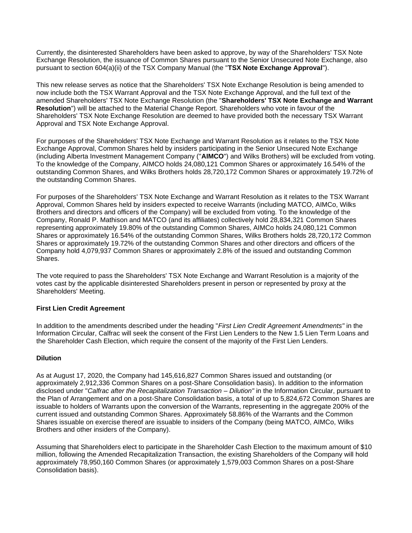Currently, the disinterested Shareholders have been asked to approve, by way of the Shareholders' TSX Note Exchange Resolution, the issuance of Common Shares pursuant to the Senior Unsecured Note Exchange, also pursuant to section 604(a)(ii) of the TSX Company Manual (the "**TSX Note Exchange Approval**").

This new release serves as notice that the Shareholders' TSX Note Exchange Resolution is being amended to now include both the TSX Warrant Approval and the TSX Note Exchange Approval, and the full text of the amended Shareholders' TSX Note Exchange Resolution (the "**Shareholders' TSX Note Exchange and Warrant Resolution**") will be attached to the Material Change Report. Shareholders who vote in favour of the Shareholders' TSX Note Exchange Resolution are deemed to have provided both the necessary TSX Warrant Approval and TSX Note Exchange Approval.

For purposes of the Shareholders' TSX Note Exchange and Warrant Resolution as it relates to the TSX Note Exchange Approval, Common Shares held by insiders participating in the Senior Unsecured Note Exchange (including Alberta Investment Management Company ("**AIMCO**") and Wilks Brothers) will be excluded from voting. To the knowledge of the Company, AIMCO holds 24,080,121 Common Shares or approximately 16.54% of the outstanding Common Shares, and Wilks Brothers holds 28,720,172 Common Shares or approximately 19.72% of the outstanding Common Shares.

For purposes of the Shareholders' TSX Note Exchange and Warrant Resolution as it relates to the TSX Warrant Approval, Common Shares held by insiders expected to receive Warrants (including MATCO, AIMCo, Wilks Brothers and directors and officers of the Company) will be excluded from voting. To the knowledge of the Company, Ronald P. Mathison and MATCO (and its affiliates) collectively hold 28,834,321 Common Shares representing approximately 19.80% of the outstanding Common Shares, AIMCo holds 24,080,121 Common Shares or approximately 16.54% of the outstanding Common Shares, Wilks Brothers holds 28,720,172 Common Shares or approximately 19.72% of the outstanding Common Shares and other directors and officers of the Company hold 4,079,937 Common Shares or approximately 2.8% of the issued and outstanding Common Shares.

The vote required to pass the Shareholders' TSX Note Exchange and Warrant Resolution is a majority of the votes cast by the applicable disinterested Shareholders present in person or represented by proxy at the Shareholders' Meeting.

# **First Lien Credit Agreement**

In addition to the amendments described under the heading "*First Lien Credit Agreement Amendments"* in the Information Circular, Calfrac will seek the consent of the First Lien Lenders to the New 1.5 Lien Term Loans and the Shareholder Cash Election, which require the consent of the majority of the First Lien Lenders.

# **Dilution**

As at August 17, 2020, the Company had 145,616,827 Common Shares issued and outstanding (or approximately 2,912,336 Common Shares on a post-Share Consolidation basis). In addition to the information disclosed under "*Calfrac after the Recapitalization Transaction – Dilution"* in the Information Circular, pursuant to the Plan of Arrangement and on a post-Share Consolidation basis, a total of up to 5,824,672 Common Shares are issuable to holders of Warrants upon the conversion of the Warrants, representing in the aggregate 200% of the current issued and outstanding Common Shares. Approximately 58.86% of the Warrants and the Common Shares issuable on exercise thereof are issuable to insiders of the Company (being MATCO, AIMCo, Wilks Brothers and other insiders of the Company).

Assuming that Shareholders elect to participate in the Shareholder Cash Election to the maximum amount of \$10 million, following the Amended Recapitalization Transaction, the existing Shareholders of the Company will hold approximately 78,950,160 Common Shares (or approximately 1,579,003 Common Shares on a post-Share Consolidation basis).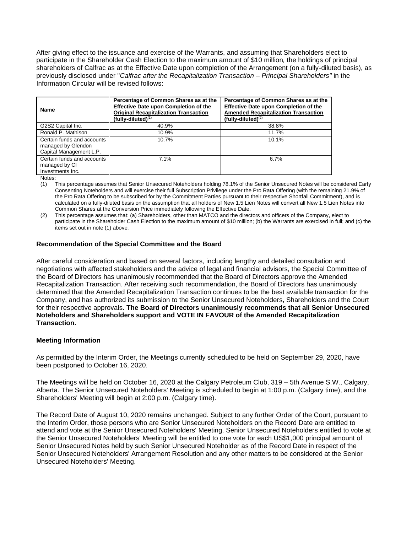After giving effect to the issuance and exercise of the Warrants, and assuming that Shareholders elect to participate in the Shareholder Cash Election to the maximum amount of \$10 million*,* the holdings of principal shareholders of Calfrac as at the Effective Date upon completion of the Arrangement (on a fully-diluted basis), as previously disclosed under "*Calfrac after the Recapitalization Transaction – Principal Shareholders"* in the Information Circular will be revised follows:

| <b>Name</b>                                                                 | Percentage of Common Shares as at the<br>Effective Date upon Completion of the<br><b>Original Recapitalization Transaction</b><br>$(fully$ -diluted $)(1)$ | Percentage of Common Shares as at the<br><b>Effective Date upon Completion of the</b><br><b>Amended Recapitalization Transaction</b><br>(fully-diluted) $(2)$ |
|-----------------------------------------------------------------------------|------------------------------------------------------------------------------------------------------------------------------------------------------------|---------------------------------------------------------------------------------------------------------------------------------------------------------------|
| G2S2 Capital Inc.                                                           | 40.9%                                                                                                                                                      | 38.8%                                                                                                                                                         |
| Ronald P. Mathison                                                          | 10.9%                                                                                                                                                      | 11.7%                                                                                                                                                         |
| Certain funds and accounts<br>managed by Glendon<br>Capital Management L.P. | 10.7%                                                                                                                                                      | 10.1%                                                                                                                                                         |
| Certain funds and accounts<br>managed by CI<br>Investments Inc.             | 7.1%                                                                                                                                                       | 6.7%                                                                                                                                                          |

Notes:

(1) This percentage assumes that Senior Unsecured Noteholders holding 78.1% of the Senior Unsecured Notes will be considered Early Consenting Noteholders and will exercise their full Subscription Privilege under the Pro Rata Offering (with the remaining 21.9% of the Pro Rata Offering to be subscribed for by the Commitment Parties pursuant to their respective Shortfall Commitment), and is calculated on a fully-diluted basis on the assumption that all holders of New 1.5 Lien Notes will convert all New 1.5 Lien Notes into Common Shares at the Conversion Price immediately following the Effective Date.

(2) This percentage assumes that: (a) Shareholders, other than MATCO and the directors and officers of the Company, elect to participate in the Shareholder Cash Election to the maximum amount of \$10 million; (b) the Warrants are exercised in full; and (c) the items set out in note (1) above.

### **Recommendation of the Special Committee and the Board**

After careful consideration and based on several factors, including lengthy and detailed consultation and negotiations with affected stakeholders and the advice of legal and financial advisors, the Special Committee of the Board of Directors has unanimously recommended that the Board of Directors approve the Amended Recapitalization Transaction. After receiving such recommendation, the Board of Directors has unanimously determined that the Amended Recapitalization Transaction continues to be the best available transaction for the Company, and has authorized its submission to the Senior Unsecured Noteholders, Shareholders and the Court for their respective approvals. **The Board of Directors unanimously recommends that all Senior Unsecured Noteholders and Shareholders support and VOTE IN FAVOUR of the Amended Recapitalization Transaction.**

#### **Meeting Information**

As permitted by the Interim Order, the Meetings currently scheduled to be held on September 29, 2020, have been postponed to October 16, 2020.

The Meetings will be held on October 16, 2020 at the Calgary Petroleum Club, 319 – 5th Avenue S.W., Calgary, Alberta. The Senior Unsecured Noteholders' Meeting is scheduled to begin at 1:00 p.m. (Calgary time), and the Shareholders' Meeting will begin at 2:00 p.m. (Calgary time).

The Record Date of August 10, 2020 remains unchanged. Subject to any further Order of the Court, pursuant to the Interim Order, those persons who are Senior Unsecured Noteholders on the Record Date are entitled to attend and vote at the Senior Unsecured Noteholders' Meeting. Senior Unsecured Noteholders entitled to vote at the Senior Unsecured Noteholders' Meeting will be entitled to one vote for each US\$1,000 principal amount of Senior Unsecured Notes held by such Senior Unsecured Noteholder as of the Record Date in respect of the Senior Unsecured Noteholders' Arrangement Resolution and any other matters to be considered at the Senior Unsecured Noteholders' Meeting.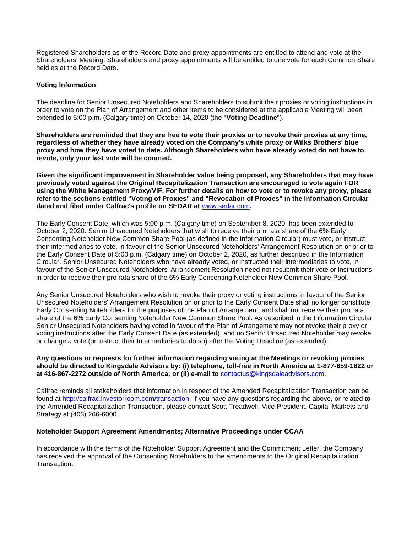Registered Shareholders as of the Record Date and proxy appointments are entitled to attend and vote at the Shareholders' Meeting. Shareholders and proxy appointments will be entitled to one vote for each Common Share held as at the Record Date.

### **Voting Information**

The deadline for Senior Unsecured Noteholders and Shareholders to submit their proxies or voting instructions in order to vote on the Plan of Arrangement and other items to be considered at the applicable Meeting will been extended to 5:00 p.m. (Calgary time) on October 14, 2020 (the "**Voting Deadline**").

**Shareholders are reminded that they are free to vote their proxies or to revoke their proxies at any time, regardless of whether they have already voted on the Company's white proxy or Wilks Brothers' blue proxy and how they have voted to date. Although Shareholders who have already voted do not have to revote, only your last vote will be counted.** 

**Given the significant improvement in Shareholder value being proposed, any Shareholders that may have previously voted against the Original Recapitalization Transaction are encouraged to vote again FOR using the White Management Proxy/VIF. For further details on how to vote or to revoke any proxy, please refer to the sections entitled "Voting of Proxies" and "Revocation of Proxies" in the Information Circular dated and filed under Calfrac's profile on SEDAR at** [www.sedar.com](https://c212.net/c/link/?t=0&l=en&o=2927389-1&h=408738122&u=http%3A%2F%2Fwww.sedar.com%2F&a=www.sedar.com)**.**

The Early Consent Date, which was 5:00 p.m. (Calgary time) on September 8, 2020, has been extended to October 2, 2020. Senior Unsecured Noteholders that wish to receive their pro rata share of the 6% Early Consenting Noteholder New Common Share Pool (as defined in the Information Circular) must vote, or instruct their intermediaries to vote, in favour of the Senior Unsecured Noteholders' Arrangement Resolution on or prior to the Early Consent Date of 5:00 p.m. (Calgary time) on October 2, 2020, as further described in the Information Circular. Senior Unsecured Noteholders who have already voted, or instructed their intermediaries to vote, in favour of the Senior Unsecured Noteholders' Arrangement Resolution need not resubmit their vote or instructions in order to receive their pro rata share of the 6% Early Consenting Noteholder New Common Share Pool.

Any Senior Unsecured Noteholders who wish to revoke their proxy or voting instructions in favour of the Senior Unsecured Noteholders' Arrangement Resolution on or prior to the Early Consent Date shall no longer constitute Early Consenting Noteholders for the purposes of the Plan of Arrangement, and shall not receive their pro rata share of the 6% Early Consenting Noteholder New Common Share Pool. As described in the Information Circular, Senior Unsecured Noteholders having voted in favour of the Plan of Arrangement may not revoke their proxy or voting instructions after the Early Consent Date (as extended), and no Senior Unsecured Noteholder may revoke or change a vote (or instruct their Intermediaries to do so) after the Voting Deadline (as extended).

#### **Any questions or requests for further information regarding voting at the Meetings or revoking proxies should be directed to Kingsdale Advisors by: (i) telephone, toll-free in North America at 1-877-659-1822 or at 416-867-2272 outside of North America; or (ii) e-mail to** [contactus@kingsdaleadvisors.com.](mailto:contactus@kingsdaleadvisors.com)

Calfrac reminds all stakeholders that information in respect of the Amended Recapitalization Transaction can be found at [http://calfrac.investorroom.com/transaction.](https://c212.net/c/link/?t=0&l=en&o=2927389-1&h=2928823235&u=http%3A%2F%2Fcalfrac.investorroom.com%2Ftransaction&a=http%3A%2F%2Fcalfrac.investorroom.com%2Ftransaction) If you have any questions regarding the above, or related to the Amended Recapitalization Transaction, please contact Scott Treadwell, Vice President, Capital Markets and Strategy at (403) 266-6000.

#### **Noteholder Support Agreement Amendments; Alternative Proceedings under CCAA**

In accordance with the terms of the Noteholder Support Agreement and the Commitment Letter, the Company has received the approval of the Consenting Noteholders to the amendments to the Original Recapitalization Transaction.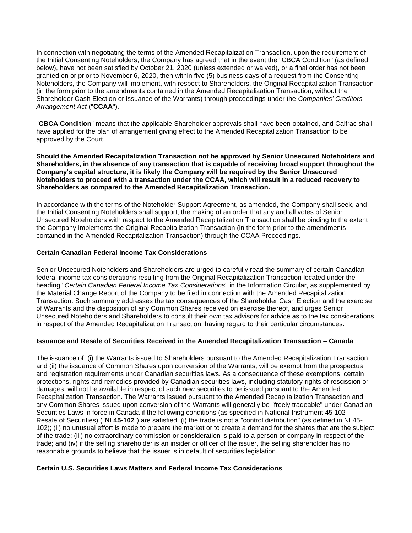In connection with negotiating the terms of the Amended Recapitalization Transaction, upon the requirement of the Initial Consenting Noteholders, the Company has agreed that in the event the "CBCA Condition" (as defined below), have not been satisfied by October 21, 2020 (unless extended or waived), or a final order has not been granted on or prior to November 6, 2020, then within five (5) business days of a request from the Consenting Noteholders, the Company will implement, with respect to Shareholders, the Original Recapitalization Transaction (in the form prior to the amendments contained in the Amended Recapitalization Transaction, without the Shareholder Cash Election or issuance of the Warrants) through proceedings under the *Companies' Creditors Arrangement Act* ("**CCAA**").

"**CBCA Condition**" means that the applicable Shareholder approvals shall have been obtained, and Calfrac shall have applied for the plan of arrangement giving effect to the Amended Recapitalization Transaction to be approved by the Court.

**Should the Amended Recapitalization Transaction not be approved by Senior Unsecured Noteholders and Shareholders, in the absence of any transaction that is capable of receiving broad support throughout the Company's capital structure, it is likely the Company will be required by the Senior Unsecured Noteholders to proceed with a transaction under the CCAA, which will result in a reduced recovery to Shareholders as compared to the Amended Recapitalization Transaction.**

In accordance with the terms of the Noteholder Support Agreement, as amended, the Company shall seek, and the Initial Consenting Noteholders shall support, the making of an order that any and all votes of Senior Unsecured Noteholders with respect to the Amended Recapitalization Transaction shall be binding to the extent the Company implements the Original Recapitalization Transaction (in the form prior to the amendments contained in the Amended Recapitalization Transaction) through the CCAA Proceedings.

### **Certain Canadian Federal Income Tax Considerations**

Senior Unsecured Noteholders and Shareholders are urged to carefully read the summary of certain Canadian federal income tax considerations resulting from the Original Recapitalization Transaction located under the heading "*Certain Canadian Federal Income Tax Considerations*" in the Information Circular, as supplemented by the Material Change Report of the Company to be filed in connection with the Amended Recapitalization Transaction. Such summary addresses the tax consequences of the Shareholder Cash Election and the exercise of Warrants and the disposition of any Common Shares received on exercise thereof, and urges Senior Unsecured Noteholders and Shareholders to consult their own tax advisors for advice as to the tax considerations in respect of the Amended Recapitalization Transaction, having regard to their particular circumstances.

# **Issuance and Resale of Securities Received in the Amended Recapitalization Transaction – Canada**

The issuance of: (i) the Warrants issued to Shareholders pursuant to the Amended Recapitalization Transaction; and (ii) the issuance of Common Shares upon conversion of the Warrants, will be exempt from the prospectus and registration requirements under Canadian securities laws. As a consequence of these exemptions, certain protections, rights and remedies provided by Canadian securities laws, including statutory rights of rescission or damages, will not be available in respect of such new securities to be issued pursuant to the Amended Recapitalization Transaction. The Warrants issued pursuant to the Amended Recapitalization Transaction and any Common Shares issued upon conversion of the Warrants will generally be "freely tradeable" under Canadian Securities Laws in force in Canada if the following conditions (as specified in National Instrument 45 102 — Resale of Securities) ("**NI 45-102**") are satisfied: (i) the trade is not a "control distribution" (as defined in NI 45- 102); (ii) no unusual effort is made to prepare the market or to create a demand for the shares that are the subject of the trade; (iii) no extraordinary commission or consideration is paid to a person or company in respect of the trade; and (iv) if the selling shareholder is an insider or officer of the issuer, the selling shareholder has no reasonable grounds to believe that the issuer is in default of securities legislation.

### **Certain U.S. Securities Laws Matters and Federal Income Tax Considerations**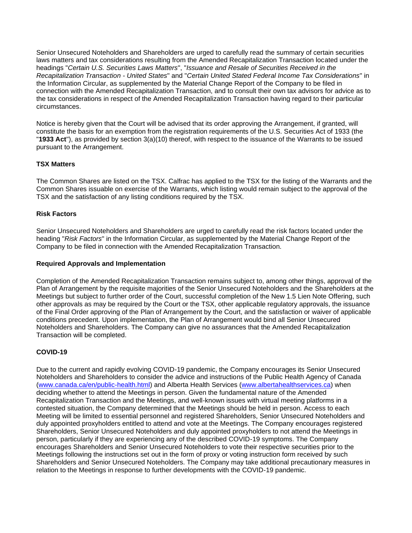Senior Unsecured Noteholders and Shareholders are urged to carefully read the summary of certain securities laws matters and tax considerations resulting from the Amended Recapitalization Transaction located under the headings "*Certain U.S. Securities Laws Matters*", "*Issuance and Resale of Securities Received in the Recapitalization Transaction - United States*" and "*Certain United Stated Federal Income Tax Considerations*" in the Information Circular, as supplemented by the Material Change Report of the Company to be filed in connection with the Amended Recapitalization Transaction, and to consult their own tax advisors for advice as to the tax considerations in respect of the Amended Recapitalization Transaction having regard to their particular circumstances.

Notice is hereby given that the Court will be advised that its order approving the Arrangement, if granted, will constitute the basis for an exemption from the registration requirements of the U.S. Securities Act of 1933 (the "**1933 Act**"), as provided by section 3(a)(10) thereof, with respect to the issuance of the Warrants to be issued pursuant to the Arrangement.

# **TSX Matters**

The Common Shares are listed on the TSX. Calfrac has applied to the TSX for the listing of the Warrants and the Common Shares issuable on exercise of the Warrants, which listing would remain subject to the approval of the TSX and the satisfaction of any listing conditions required by the TSX.

# **Risk Factors**

Senior Unsecured Noteholders and Shareholders are urged to carefully read the risk factors located under the heading "*Risk Factors*" in the Information Circular, as supplemented by the Material Change Report of the Company to be filed in connection with the Amended Recapitalization Transaction.

### **Required Approvals and Implementation**

Completion of the Amended Recapitalization Transaction remains subject to, among other things, approval of the Plan of Arrangement by the requisite majorities of the Senior Unsecured Noteholders and the Shareholders at the Meetings but subject to further order of the Court, successful completion of the New 1.5 Lien Note Offering, such other approvals as may be required by the Court or the TSX, other applicable regulatory approvals, the issuance of the Final Order approving of the Plan of Arrangement by the Court, and the satisfaction or waiver of applicable conditions precedent. Upon implementation, the Plan of Arrangement would bind all Senior Unsecured Noteholders and Shareholders. The Company can give no assurances that the Amended Recapitalization Transaction will be completed.

# **COVID-19**

Due to the current and rapidly evolving COVID-19 pandemic, the Company encourages its Senior Unsecured Noteholders and Shareholders to consider the advice and instructions of the Public Health Agency of Canada [\(www.canada.ca/en/public-health.html\)](https://c212.net/c/link/?t=0&l=en&o=2927389-1&h=3785137422&u=http%3A%2F%2Fwww.canada.ca%2Fen%2Fpublic-health.html&a=www.canada.ca%2Fen%2Fpublic-health.html) and Alberta Health Services [\(www.albertahealthservices.ca\)](https://c212.net/c/link/?t=0&l=en&o=2927389-1&h=1592124461&u=http%3A%2F%2Fwww.albertahealthservices.ca%2F&a=www.albertahealthservices.ca) when deciding whether to attend the Meetings in person. Given the fundamental nature of the Amended Recapitalization Transaction and the Meetings, and well-known issues with virtual meeting platforms in a contested situation, the Company determined that the Meetings should be held in person. Access to each Meeting will be limited to essential personnel and registered Shareholders, Senior Unsecured Noteholders and duly appointed proxyholders entitled to attend and vote at the Meetings. The Company encourages registered Shareholders, Senior Unsecured Noteholders and duly appointed proxyholders to not attend the Meetings in person, particularly if they are experiencing any of the described COVID-19 symptoms. The Company encourages Shareholders and Senior Unsecured Noteholders to vote their respective securities prior to the Meetings following the instructions set out in the form of proxy or voting instruction form received by such Shareholders and Senior Unsecured Noteholders. The Company may take additional precautionary measures in relation to the Meetings in response to further developments with the COVID-19 pandemic.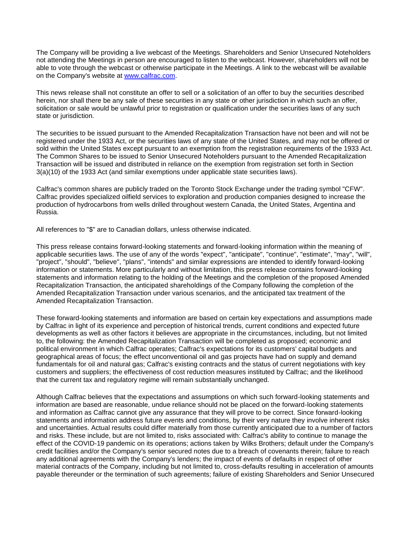The Company will be providing a live webcast of the Meetings. Shareholders and Senior Unsecured Noteholders not attending the Meetings in person are encouraged to listen to the webcast. However, shareholders will not be able to vote through the webcast or otherwise participate in the Meetings. A link to the webcast will be available on the Company's website at [www.calfrac.com.](https://c212.net/c/link/?t=0&l=en&o=2927389-1&h=2183370224&u=http%3A%2F%2Fwww.calfrac.com%2F&a=www.calfrac.com)

This news release shall not constitute an offer to sell or a solicitation of an offer to buy the securities described herein, nor shall there be any sale of these securities in any state or other jurisdiction in which such an offer, solicitation or sale would be unlawful prior to registration or qualification under the securities laws of any such state or jurisdiction.

The securities to be issued pursuant to the Amended Recapitalization Transaction have not been and will not be registered under the 1933 Act, or the securities laws of any state of the United States, and may not be offered or sold within the United States except pursuant to an exemption from the registration requirements of the 1933 Act. The Common Shares to be issued to Senior Unsecured Noteholders pursuant to the Amended Recapitalization Transaction will be issued and distributed in reliance on the exemption from registration set forth in Section 3(a)(10) of the 1933 Act (and similar exemptions under applicable state securities laws).

Calfrac's common shares are publicly traded on the Toronto Stock Exchange under the trading symbol "CFW". Calfrac provides specialized oilfield services to exploration and production companies designed to increase the production of hydrocarbons from wells drilled throughout western Canada, the United States, Argentina and Russia.

All references to "\$" are to Canadian dollars, unless otherwise indicated.

This press release contains forward-looking statements and forward-looking information within the meaning of applicable securities laws. The use of any of the words "expect", "anticipate", "continue", "estimate", "may", "will", "project", "should", "believe", "plans", "intends" and similar expressions are intended to identify forward-looking information or statements. More particularly and without limitation, this press release contains forward-looking statements and information relating to the holding of the Meetings and the completion of the proposed Amended Recapitalization Transaction, the anticipated shareholdings of the Company following the completion of the Amended Recapitalization Transaction under various scenarios, and the anticipated tax treatment of the Amended Recapitalization Transaction.

These forward-looking statements and information are based on certain key expectations and assumptions made by Calfrac in light of its experience and perception of historical trends, current conditions and expected future developments as well as other factors it believes are appropriate in the circumstances, including, but not limited to, the following: the Amended Recapitalization Transaction will be completed as proposed; economic and political environment in which Calfrac operates; Calfrac's expectations for its customers' capital budgets and geographical areas of focus; the effect unconventional oil and gas projects have had on supply and demand fundamentals for oil and natural gas; Calfrac's existing contracts and the status of current negotiations with key customers and suppliers; the effectiveness of cost reduction measures instituted by Calfrac; and the likelihood that the current tax and regulatory regime will remain substantially unchanged.

Although Calfrac believes that the expectations and assumptions on which such forward-looking statements and information are based are reasonable, undue reliance should not be placed on the forward-looking statements and information as Calfrac cannot give any assurance that they will prove to be correct. Since forward-looking statements and information address future events and conditions, by their very nature they involve inherent risks and uncertainties. Actual results could differ materially from those currently anticipated due to a number of factors and risks. These include, but are not limited to, risks associated with: Calfrac's ability to continue to manage the effect of the COVID-19 pandemic on its operations; actions taken by Wilks Brothers; default under the Company's credit facilities and/or the Company's senior secured notes due to a breach of covenants therein; failure to reach any additional agreements with the Company's lenders; the impact of events of defaults in respect of other material contracts of the Company, including but not limited to, cross-defaults resulting in acceleration of amounts payable thereunder or the termination of such agreements; failure of existing Shareholders and Senior Unsecured